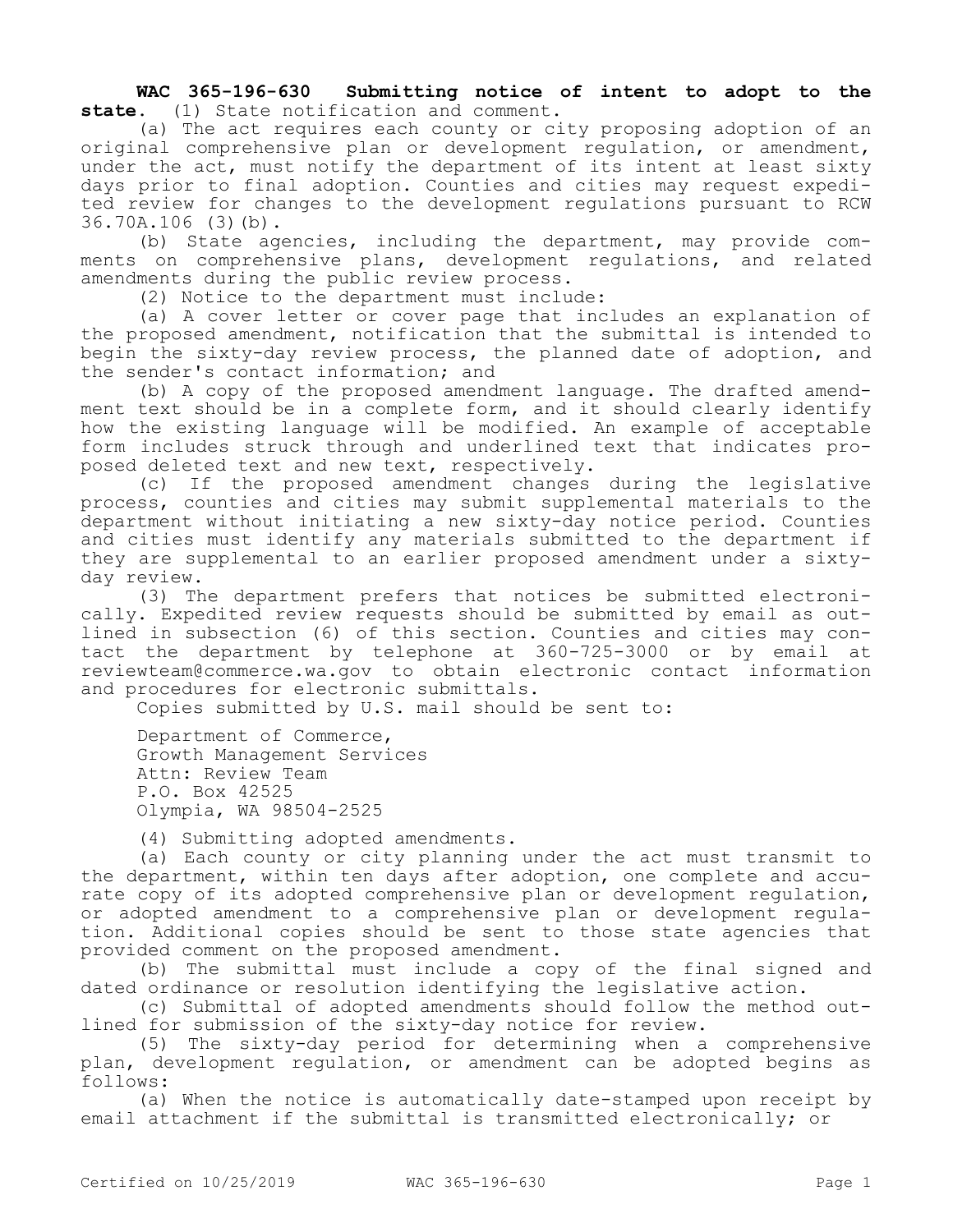**WAC 365-196-630 Submitting notice of intent to adopt to the state.** (1) State notification and comment.

(a) The act requires each county or city proposing adoption of an original comprehensive plan or development regulation, or amendment, under the act, must notify the department of its intent at least sixty days prior to final adoption. Counties and cities may request expedited review for changes to the development regulations pursuant to RCW 36.70A.106 (3)(b).

(b) State agencies, including the department, may provide comments on comprehensive plans, development regulations, and related amendments during the public review process.

(2) Notice to the department must include:

(a) A cover letter or cover page that includes an explanation of the proposed amendment, notification that the submittal is intended to begin the sixty-day review process, the planned date of adoption, and the sender's contact information; and

(b) A copy of the proposed amendment language. The drafted amendment text should be in a complete form, and it should clearly identify how the existing language will be modified. An example of acceptable form includes struck through and underlined text that indicates proposed deleted text and new text, respectively.

(c) If the proposed amendment changes during the legislative process, counties and cities may submit supplemental materials to the department without initiating a new sixty-day notice period. Counties and cities must identify any materials submitted to the department if they are supplemental to an earlier proposed amendment under a sixtyday review.

(3) The department prefers that notices be submitted electronically. Expedited review requests should be submitted by email as outlined in subsection (6) of this section. Counties and cities may contact the department by telephone at 360-725-3000 or by email at reviewteam@commerce.wa.gov to obtain electronic contact information and procedures for electronic submittals.

Copies submitted by U.S. mail should be sent to:

Department of Commerce, Growth Management Services Attn: Review Team P.O. Box 42525 Olympia, WA 98504-2525

(4) Submitting adopted amendments.

(a) Each county or city planning under the act must transmit to the department, within ten days after adoption, one complete and accurate copy of its adopted comprehensive plan or development regulation, or adopted amendment to a comprehensive plan or development regulation. Additional copies should be sent to those state agencies that provided comment on the proposed amendment.

(b) The submittal must include a copy of the final signed and dated ordinance or resolution identifying the legislative action.

(c) Submittal of adopted amendments should follow the method outlined for submission of the sixty-day notice for review.

(5) The sixty-day period for determining when a comprehensive plan, development regulation, or amendment can be adopted begins as follows:

(a) When the notice is automatically date-stamped upon receipt by email attachment if the submittal is transmitted electronically; or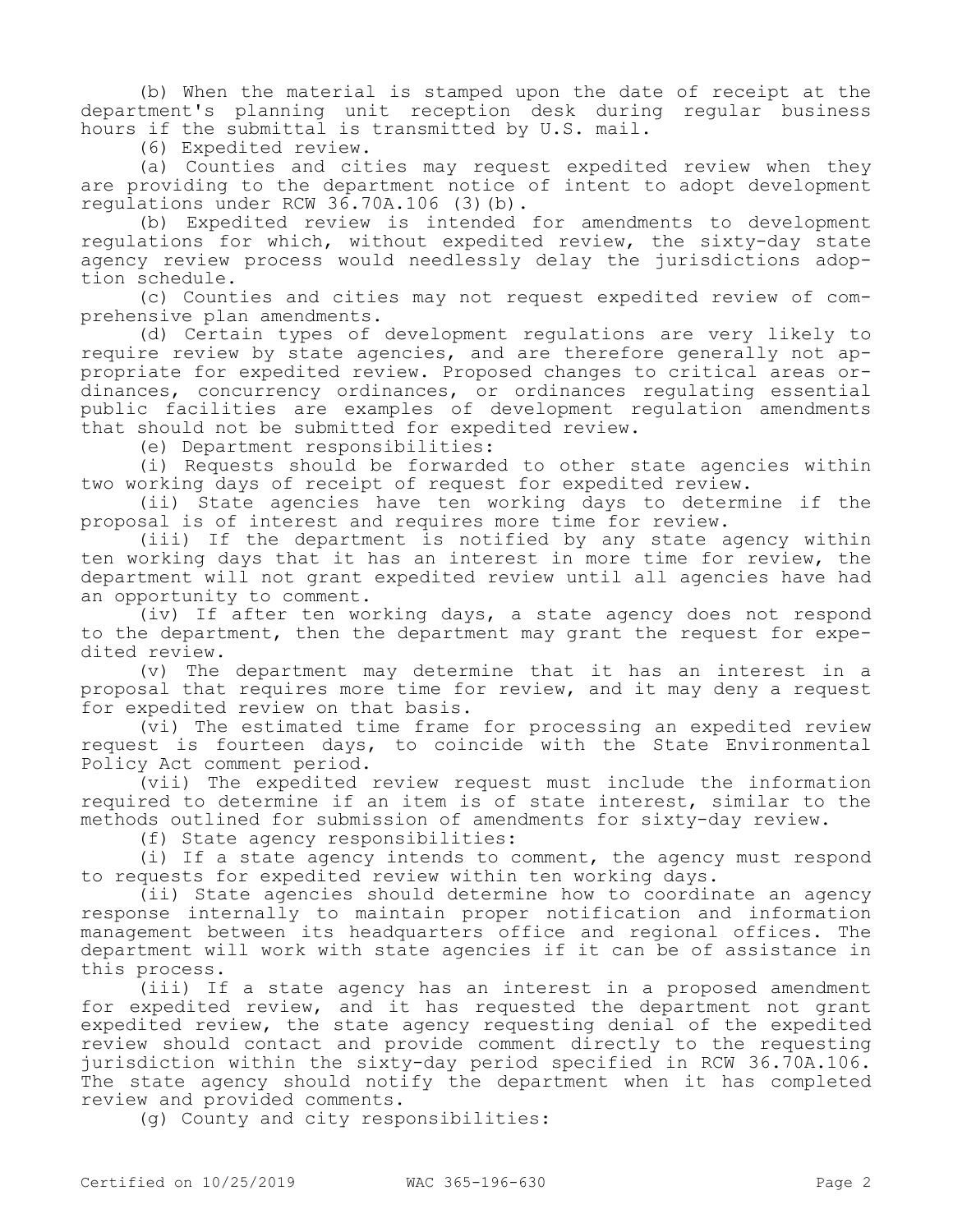(b) When the material is stamped upon the date of receipt at the department's planning unit reception desk during regular business hours if the submittal is transmitted by U.S. mail.

(6) Expedited review.

(a) Counties and cities may request expedited review when they are providing to the department notice of intent to adopt development regulations under RCW 36.70A.106 (3)(b).

(b) Expedited review is intended for amendments to development regulations for which, without expedited review, the sixty-day state agency review process would needlessly delay the jurisdictions adoption schedule.

(c) Counties and cities may not request expedited review of comprehensive plan amendments.

(d) Certain types of development regulations are very likely to require review by state agencies, and are therefore generally not appropriate for expedited review. Proposed changes to critical areas ordinances, concurrency ordinances, or ordinances regulating essential public facilities are examples of development regulation amendments that should not be submitted for expedited review.

(e) Department responsibilities:

(i) Requests should be forwarded to other state agencies within two working days of receipt of request for expedited review.

(ii) State agencies have ten working days to determine if the proposal is of interest and requires more time for review.

(iii) If the department is notified by any state agency within ten working days that it has an interest in more time for review, the department will not grant expedited review until all agencies have had an opportunity to comment.

(iv) If after ten working days, a state agency does not respond to the department, then the department may grant the request for expedited review.

(v) The department may determine that it has an interest in a proposal that requires more time for review, and it may deny a request for expedited review on that basis.

(vi) The estimated time frame for processing an expedited review request is fourteen days, to coincide with the State Environmental Policy Act comment period.

(vii) The expedited review request must include the information required to determine if an item is of state interest, similar to the methods outlined for submission of amendments for sixty-day review.

(f) State agency responsibilities:

(i) If a state agency intends to comment, the agency must respond to requests for expedited review within ten working days.

(ii) State agencies should determine how to coordinate an agency response internally to maintain proper notification and information management between its headquarters office and regional offices. The department will work with state agencies if it can be of assistance in this process.

(iii) If a state agency has an interest in a proposed amendment for expedited review, and it has requested the department not grant expedited review, the state agency requesting denial of the expedited review should contact and provide comment directly to the requesting jurisdiction within the sixty-day period specified in RCW 36.70A.106. The state agency should notify the department when it has completed review and provided comments.

(g) County and city responsibilities: